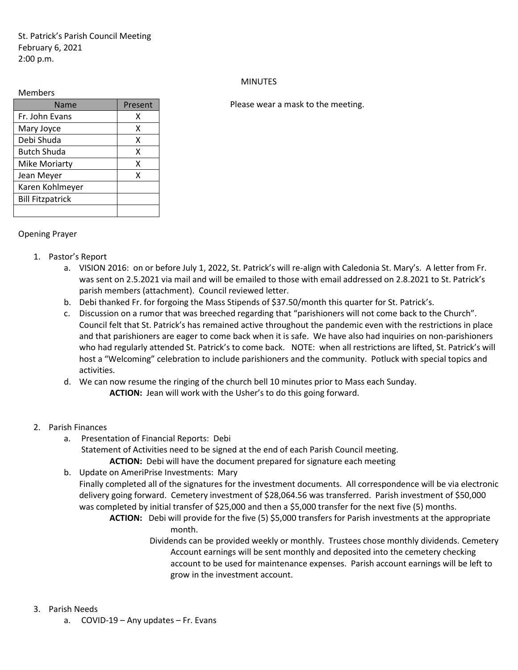St. Patrick's Parish Council Meeting February 6, 2021 2:00 p.m.

## Members

| Name                    | Present |
|-------------------------|---------|
| Fr. John Evans          | х       |
| Mary Joyce              | x       |
| Debi Shuda              | x       |
| Butch Shuda             | x       |
| <b>Mike Moriarty</b>    | x       |
| Jean Meyer              | x       |
| Karen Kohlmeyer         |         |
| <b>Bill Fitzpatrick</b> |         |
|                         |         |

## **MINUTES**

Please wear a mask to the meeting.

## Opening Prayer

- 1. Pastor's Report
	- a. VISION 2016: on or before July 1, 2022, St. Patrick's will re-align with Caledonia St. Mary's. A letter from Fr. was sent on 2.5.2021 via mail and will be emailed to those with email addressed on 2.8.2021 to St. Patrick's parish members (attachment). Council reviewed letter.
	- b. Debi thanked Fr. for forgoing the Mass Stipends of \$37.50/month this quarter for St. Patrick's.
	- c. Discussion on a rumor that was breeched regarding that "parishioners will not come back to the Church". Council felt that St. Patrick's has remained active throughout the pandemic even with the restrictions in place and that parishioners are eager to come back when it is safe. We have also had inquiries on non-parishioners who had regularly attended St. Patrick's to come back. NOTE: when all restrictions are lifted, St. Patrick's will host a "Welcoming" celebration to include parishioners and the community. Potluck with special topics and activities.
	- d. We can now resume the ringing of the church bell 10 minutes prior to Mass each Sunday. **ACTION:** Jean will work with the Usher's to do this going forward.
- 2. Parish Finances
	- a. Presentation of Financial Reports: Debi Statement of Activities need to be signed at the end of each Parish Council meeting. **ACTION:** Debi will have the document prepared for signature each meeting
	- b. Update on AmeriPrise Investments: Mary Finally completed all of the signatures for the investment documents. All correspondence will be via electronic delivery going forward. Cemetery investment of \$28,064.56 was transferred. Parish investment of \$50,000 was completed by initial transfer of \$25,000 and then a \$5,000 transfer for the next five (5) months.
		- **ACTION:** Debi will provide for the five (5) \$5,000 transfers for Parish investments at the appropriate month.
			- Dividends can be provided weekly or monthly. Trustees chose monthly dividends. Cemetery Account earnings will be sent monthly and deposited into the cemetery checking account to be used for maintenance expenses. Parish account earnings will be left to grow in the investment account.
- 3. Parish Needs
	- a. COVID-19 Any updates Fr. Evans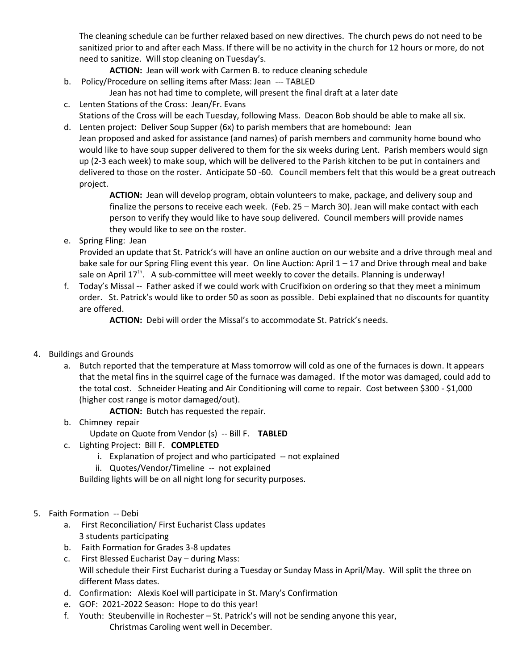The cleaning schedule can be further relaxed based on new directives. The church pews do not need to be sanitized prior to and after each Mass. If there will be no activity in the church for 12 hours or more, do not need to sanitize. Will stop cleaning on Tuesday's.

**ACTION:** Jean will work with Carmen B. to reduce cleaning schedule

b. Policy/Procedure on selling items after Mass: Jean --- TABLED

Jean has not had time to complete, will present the final draft at a later date

c. Lenten Stations of the Cross: Jean/Fr. Evans

Stations of the Cross will be each Tuesday, following Mass. Deacon Bob should be able to make all six.

d. Lenten project: Deliver Soup Supper (6x) to parish members that are homebound: Jean Jean proposed and asked for assistance (and names) of parish members and community home bound who would like to have soup supper delivered to them for the six weeks during Lent. Parish members would sign up (2-3 each week) to make soup, which will be delivered to the Parish kitchen to be put in containers and delivered to those on the roster. Anticipate 50 -60. Council members felt that this would be a great outreach project.

> **ACTION:** Jean will develop program, obtain volunteers to make, package, and delivery soup and finalize the persons to receive each week. (Feb. 25 – March 30). Jean will make contact with each person to verify they would like to have soup delivered. Council members will provide names they would like to see on the roster.

e. Spring Fling: Jean

Provided an update that St. Patrick's will have an online auction on our website and a drive through meal and bake sale for our Spring Fling event this year. On line Auction: April 1 – 17 and Drive through meal and bake sale on April  $17^{th}$ . A sub-committee will meet weekly to cover the details. Planning is underway!

f. Today's Missal -- Father asked if we could work with Crucifixion on ordering so that they meet a minimum order. St. Patrick's would like to order 50 as soon as possible. Debi explained that no discounts for quantity are offered.

**ACTION:** Debi will order the Missal's to accommodate St. Patrick's needs.

- 4. Buildings and Grounds
	- a. Butch reported that the temperature at Mass tomorrow will cold as one of the furnaces is down. It appears that the metal fins in the squirrel cage of the furnace was damaged. If the motor was damaged, could add to the total cost. Schneider Heating and Air Conditioning will come to repair. Cost between \$300 - \$1,000 (higher cost range is motor damaged/out).

**ACTION:** Butch has requested the repair.

b. Chimney repair

Update on Quote from Vendor (s) -- Bill F. **TABLED**

- c. Lighting Project: Bill F. **COMPLETED**
	- i. Explanation of project and who participated -- not explained
	- ii. Quotes/Vendor/Timeline -- not explained

Building lights will be on all night long for security purposes.

- 5. Faith Formation -- Debi
	- a. First Reconciliation/ First Eucharist Class updates 3 students participating
	- b. Faith Formation for Grades 3-8 updates
	- c. First Blessed Eucharist Day during Mass: Will schedule their First Eucharist during a Tuesday or Sunday Mass in April/May. Will split the three on different Mass dates.
	- d. Confirmation: Alexis Koel will participate in St. Mary's Confirmation
	- e. GOF: 2021-2022 Season: Hope to do this year!
	- f. Youth: Steubenville in Rochester St. Patrick's will not be sending anyone this year, Christmas Caroling went well in December.